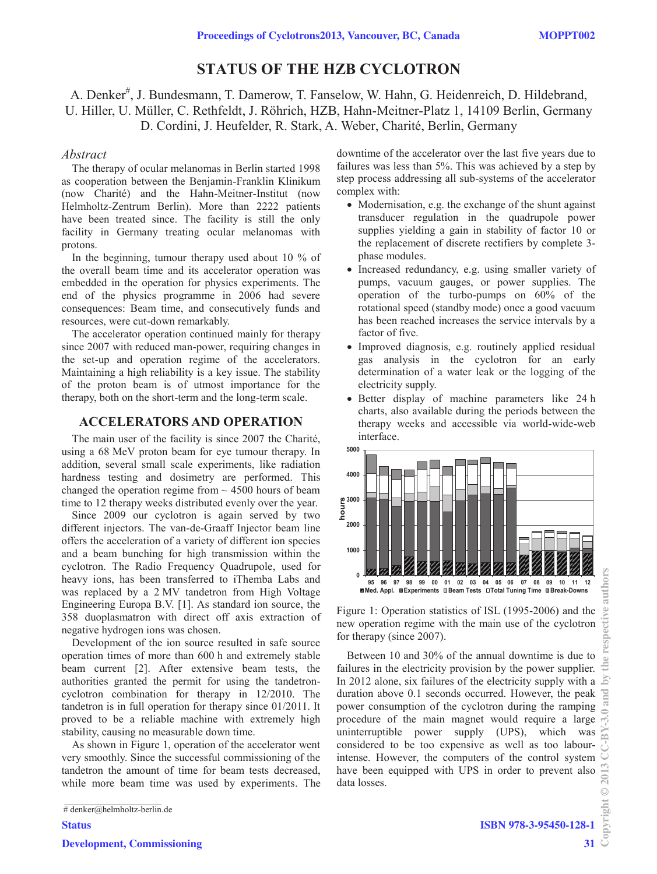# **STATUS OF THE HZB CYCLOTRON**

A. Denker<sup>#</sup>, J. Bundesmann, T. Damerow, T. Fanselow, W. Hahn, G. Heidenreich, D. Hildebrand, U. Hiller, U. Müller, C. Rethfeldt, J. Röhrich, HZB, Hahn-Meitner-Platz 1, 14109 Berlin, Germany D. Cordini, J. Heufelder, R. Stark, A. Weber, Charité, Berlin, Germany

## *Abstract*

The therapy of ocular melanomas in Berlin started 1998 as cooperation between the Benjamin-Franklin Klinikum (now Charité) and the Hahn-Meitner-Institut (now Helmholtz-Zentrum Berlin). More than 2222 patients have been treated since. The facility is still the only facility in Germany treating ocular melanomas with protons.

In the beginning, tumour therapy used about 10 % of the overall beam time and its accelerator operation was embedded in the operation for physics experiments. The end of the physics programme in 2006 had severe consequences: Beam time, and consecutively funds and resources, were cut-down remarkably.

The accelerator operation continued mainly for therapy since 2007 with reduced man-power, requiring changes in the set-up and operation regime of the accelerators. Maintaining a high reliability is a key issue. The stability of the proton beam is of utmost importance for the therapy, both on the short-term and the long-term scale.

## **ACCELERATORS AND OPERATION**

The main user of the facility is since 2007 the Charité, using a 68 MeV proton beam for eye tumour therapy. In addition, several small scale experiments, like radiation hardness testing and dosimetry are performed. This changed the operation regime from  $\sim$  4500 hours of beam time to 12 therapy weeks distributed evenly over the year.

Since 2009 our cyclotron is again served by two different injectors. The van-de-Graaff Injector beam line offers the acceleration of a variety of different ion species and a beam bunching for high transmission within the cyclotron. The Radio Frequency Quadrupole, used for heavy ions, has been transferred to iThemba Labs and was replaced by a 2 MV tandetron from High Voltage Engineering Europa B.V. [1]. As standard ion source, the 358 duoplasmatron with direct off axis extraction of negative hydrogen ions was chosen.

Development of the ion source resulted in safe source operation times of more than 600 h and extremely stable beam current [2]. After extensive beam tests, the authorities granted the permit for using the tandetroncyclotron combination for therapy in 12/2010. The tandetron is in full operation for therapy since 01/2011. It proved to be a reliable machine with extremely high stability, causing no measurable down time.

As shown in Figure 1, operation of the accelerator went very smoothly. Since the successful commissioning of the tandetron the amount of time for beam tests decreased, while more beam time was used by experiments. The

**Status** Development, Commissioning downtime of the accelerator over the last five years due to failures was less than 5%. This was achieved by a step by step process addressing all sub-systems of the accelerator complex with:

- Modernisation, e.g. the exchange of the shunt against transducer regulation in the quadrupole power supplies yielding a gain in stability of factor 10 or the replacement of discrete rectifiers by complete 3 phase modules.
- Increased redundancy, e.g. using smaller variety of pumps, vacuum gauges, or power supplies. The operation of the turbo-pumps on 60% of the rotational speed (standby mode) once a good vacuum has been reached increases the service intervals by a factor of five.
- Improved diagnosis, e.g. routinely applied residual gas analysis in the cyclotron for an early determination of a water leak or the logging of the electricity supply.
- Better display of machine parameters like 24 h charts, also available during the periods between the therapy weeks and accessible via world-wide-web interface.



Figure 1: Operation statistics of ISL (1995-2006) and the new operation regime with the main use of the cyclotron for therapy (since 2007).

Between 10 and 30% of the annual downtime is due to failures in the electricity provision by the power supplier. In 2012 alone, six failures of the electricity supply with a duration above 0.1 seconds occurred. However, the peak power consumption of the cyclotron during the ramping procedure of the main magnet would require a large uninterruptible power supply (UPS), which was considered to be too expensive as well as too labourintense. However, the computers of the control system have been equipped with UPS in order to prevent also data losses.

<sup>#</sup> denker@helmholtz-berlin.de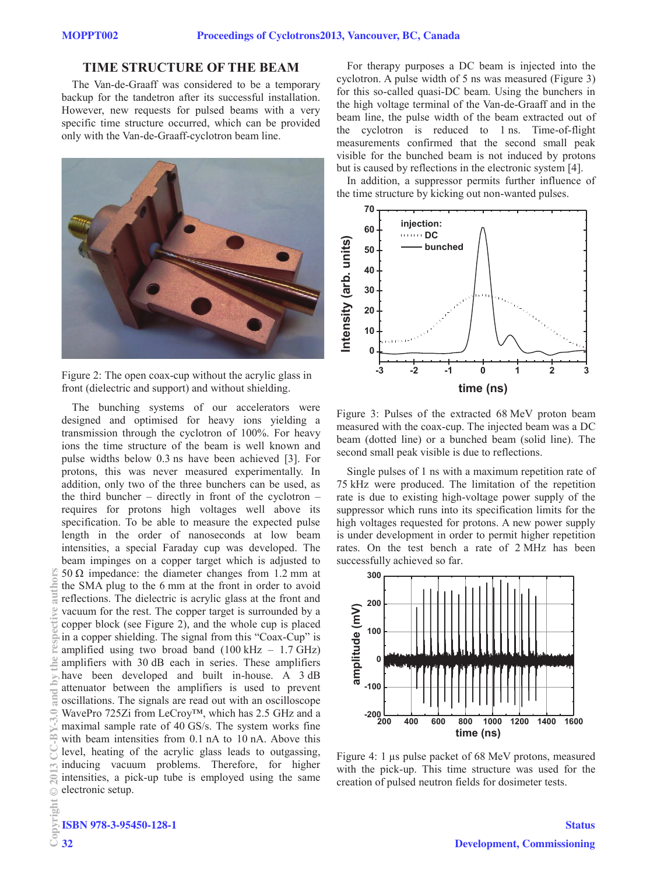## **TIME STRUCTURE OF THE BEAM**

The Van-de-Graaff was considered to be a temporary backup for the tandetron after its successful installation. However, new requests for pulsed beams with a very specific time structure occurred, which can be provided only with the Van-de-Graaff-cyclotron beam line.



Figure 2: The open coax-cup without the acrylic glass in front (dielectric and support) and without shielding.

The bunching systems of our accelerators were designed and optimised for heavy ions yielding a transmission through the cyclotron of 100%. For heavy ions the time structure of the beam is well known and pulse widths below 0.3 ns have been achieved [3]. For protons, this was never measured experimentally. In addition, only two of the three bunchers can be used, as the third buncher – directly in front of the cyclotron – requires for protons high voltages well above its specification. To be able to measure the expected pulse length in the order of nanoseconds at low beam intensities, a special Faraday cup was developed. The beam impinges on a copper target which is adjusted to 50 Ω impedance: the diameter changes from 1.2 mm at the SMA plug to the 6 mm at the front in order to avoid reflections. The dielectric is acrylic glass at the front and vacuum for the rest. The copper target is surrounded by a copper block (see Figure 2), and the whole cup is placed in a copper shielding. The signal from this "Coax-Cup" is amplified using two broad band  $(100 \text{ kHz} - 1.7 \text{ GHz})$ amplifiers with 30 dB each in series. These amplifiers have been developed and built in-house. A 3 dB attenuator between the amplifiers is used to prevent oscillations. The signals are read out with an oscilloscope WavePro 725Zi from LeCroy™, which has 2.5 GHz and a maximal sample rate of 40 GS/s. The system works fine with beam intensities from 0.1 nA to 10 nA. Above this level, heating of the acrylic glass leads to outgassing, inducing vacuum problems. Therefore, for higher intensities, a pick-up tube is employed using the same electronic setup.

For therapy purposes a DC beam is injected into the cyclotron. A pulse width of 5 ns was measured (Figure 3) for this so-called quasi-DC beam. Using the bunchers in the high voltage terminal of the Van-de-Graaff and in the beam line, the pulse width of the beam extracted out of the cyclotron is reduced to 1 ns. Time-of-flight measurements confirmed that the second small peak visible for the bunched beam is not induced by protons but is caused by reflections in the electronic system [4].

In addition, a suppressor permits further influence of the time structure by kicking out non-wanted pulses.



Figure 3: Pulses of the extracted 68 MeV proton beam measured with the coax-cup. The injected beam was a DC beam (dotted line) or a bunched beam (solid line). The second small peak visible is due to reflections.

Single pulses of 1 ns with a maximum repetition rate of 75 kHz were produced. The limitation of the repetition rate is due to existing high-voltage power supply of the suppressor which runs into its specification limits for the high voltages requested for protons. A new power supply is under development in order to permit higher repetition rates. On the test bench a rate of 2 MHz has been successfully achieved so far.



Figure 4: 1 μs pulse packet of 68 MeV protons, measured with the pick-up. This time structure was used for the creation of pulsed neutron fields for dosimeter tests.

**Dull**